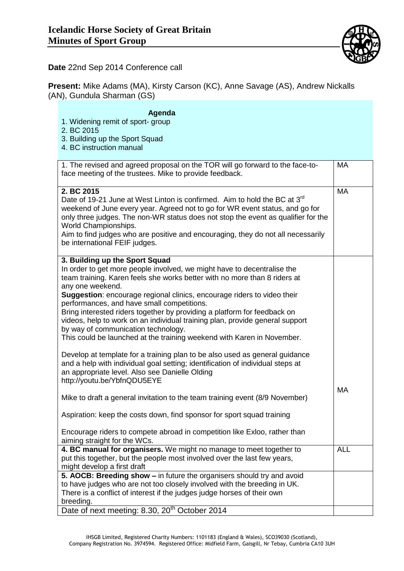

**Date** 22nd Sep 2014 Conference call

**Present:** Mike Adams (MA), Kirsty Carson (KC), Anne Savage (AS), Andrew Nickalls (AN), Gundula Sharman (GS)

| Agenda<br>1. Widening remit of sport- group<br>2. BC 2015<br>3. Building up the Sport Squad<br>4. BC instruction manual                                                                                                                                                                                                                                                                                                                                                                                                                                                                                          |            |
|------------------------------------------------------------------------------------------------------------------------------------------------------------------------------------------------------------------------------------------------------------------------------------------------------------------------------------------------------------------------------------------------------------------------------------------------------------------------------------------------------------------------------------------------------------------------------------------------------------------|------------|
| 1. The revised and agreed proposal on the TOR will go forward to the face-to-<br>face meeting of the trustees. Mike to provide feedback.                                                                                                                                                                                                                                                                                                                                                                                                                                                                         | <b>MA</b>  |
| 2. BC 2015<br>Date of 19-21 June at West Linton is confirmed. Aim to hold the BC at 3 <sup>rd</sup><br>weekend of June every year. Agreed not to go for WR event status, and go for<br>only three judges. The non-WR status does not stop the event as qualifier for the<br>World Championships.<br>Aim to find judges who are positive and encouraging, they do not all necessarily<br>be international FEIF judges.                                                                                                                                                                                            | <b>MA</b>  |
| 3. Building up the Sport Squad<br>In order to get more people involved, we might have to decentralise the<br>team training. Karen feels she works better with no more than 8 riders at<br>any one weekend.<br>Suggestion: encourage regional clinics, encourage riders to video their<br>performances, and have small competitions.<br>Bring interested riders together by providing a platform for feedback on<br>videos, help to work on an individual training plan, provide general support<br>by way of communication technology.<br>This could be launched at the training weekend with Karen in November. |            |
| Develop at template for a training plan to be also used as general guidance<br>and a help with individual goal setting; identification of individual steps at<br>an appropriate level. Also see Danielle Olding<br>http://youtu.be/YbfnQDU5EYE                                                                                                                                                                                                                                                                                                                                                                   |            |
| Mike to draft a general invitation to the team training event (8/9 November)<br>Aspiration: keep the costs down, find sponsor for sport squad training                                                                                                                                                                                                                                                                                                                                                                                                                                                           | <b>MA</b>  |
| Encourage riders to compete abroad in competition like Exloo, rather than<br>aiming straight for the WCs.                                                                                                                                                                                                                                                                                                                                                                                                                                                                                                        |            |
| 4. BC manual for organisers. We might no manage to meet together to<br>put this together, but the people most involved over the last few years,<br>might develop a first draft                                                                                                                                                                                                                                                                                                                                                                                                                                   | <b>ALL</b> |
| 5. AOCB: Breeding show - in future the organisers should try and avoid<br>to have judges who are not too closely involved with the breeding in UK.<br>There is a conflict of interest if the judges judge horses of their own<br>breeding.                                                                                                                                                                                                                                                                                                                                                                       |            |
| Date of next meeting: 8.30, 20 <sup>th</sup> October 2014                                                                                                                                                                                                                                                                                                                                                                                                                                                                                                                                                        |            |